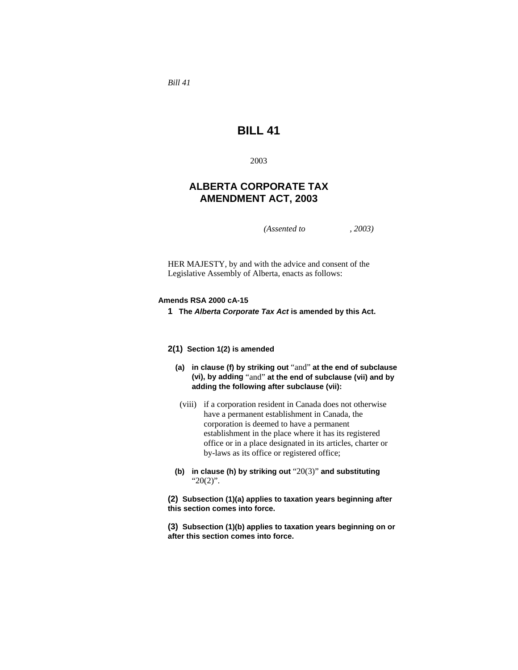*Bill 41* 

# **BILL 41**

2003

# **ALBERTA CORPORATE TAX AMENDMENT ACT, 2003**

*(Assented to , 2003)* 

HER MAJESTY, by and with the advice and consent of the Legislative Assembly of Alberta, enacts as follows:

## **Amends RSA 2000 cA-15**

**1 The** *Alberta Corporate Tax Act* **is amended by this Act.** 

# **2(1) Section 1(2) is amended**

- **(a) in clause (f) by striking out** "and" **at the end of subclause (vi), by adding** "and" **at the end of subclause (vii) and by adding the following after subclause (vii):**
- (viii) if a corporation resident in Canada does not otherwise have a permanent establishment in Canada, the corporation is deemed to have a permanent establishment in the place where it has its registered office or in a place designated in its articles, charter or by-laws as its office or registered office;
- **(b) in clause (h) by striking out** "20(3)" **and substituting**  "20(2)".

**(2) Subsection (1)(a) applies to taxation years beginning after this section comes into force.**

**(3) Subsection (1)(b) applies to taxation years beginning on or after this section comes into force.**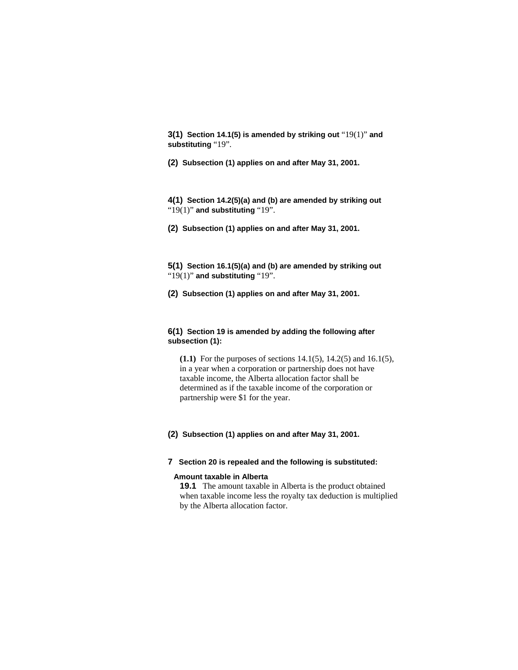**3(1) Section 14.1(5) is amended by striking out** "19(1)" **and substituting** "19".

**(2) Subsection (1) applies on and after May 31, 2001.** 

**4(1) Section 14.2(5)(a) and (b) are amended by striking out**  "19(1)" **and substituting** "19".

**(2) Subsection (1) applies on and after May 31, 2001.** 

**5(1) Section 16.1(5)(a) and (b) are amended by striking out**  "19(1)" **and substituting** "19".

**(2) Subsection (1) applies on and after May 31, 2001.** 

# **6(1) Section 19 is amended by adding the following after subsection (1):**

**(1.1)** For the purposes of sections 14.1(5), 14.2(5) and 16.1(5), in a year when a corporation or partnership does not have taxable income, the Alberta allocation factor shall be determined as if the taxable income of the corporation or partnership were \$1 for the year.

# **(2) Subsection (1) applies on and after May 31, 2001.**

## **7 Section 20 is repealed and the following is substituted:**

#### **Amount taxable in Alberta**

**19.1** The amount taxable in Alberta is the product obtained when taxable income less the royalty tax deduction is multiplied by the Alberta allocation factor.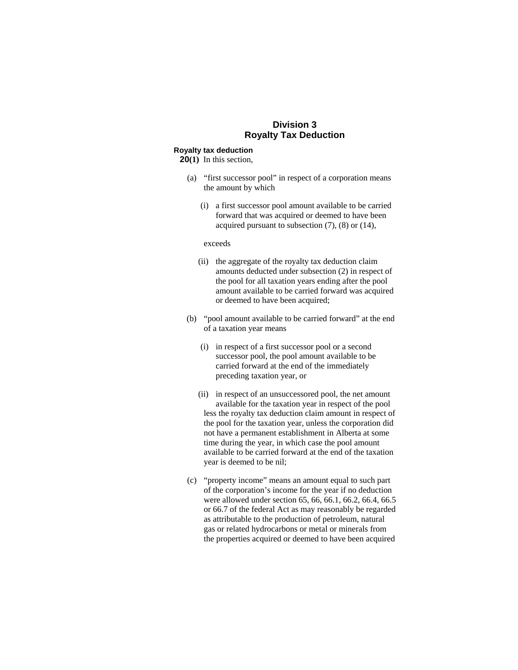# **Division 3 Royalty Tax Deduction**

### **Royalty tax deduction**

**20(1)** In this section,

- (a) "first successor pool" in respect of a corporation means the amount by which
	- (i) a first successor pool amount available to be carried forward that was acquired or deemed to have been acquired pursuant to subsection (7), (8) or (14),

#### exceeds

- (ii) the aggregate of the royalty tax deduction claim amounts deducted under subsection (2) in respect of the pool for all taxation years ending after the pool amount available to be carried forward was acquired or deemed to have been acquired;
- (b) "pool amount available to be carried forward" at the end of a taxation year means
	- (i) in respect of a first successor pool or a second successor pool, the pool amount available to be carried forward at the end of the immediately preceding taxation year, or
	- (ii) in respect of an unsuccessored pool, the net amount available for the taxation year in respect of the pool less the royalty tax deduction claim amount in respect of the pool for the taxation year, unless the corporation did not have a permanent establishment in Alberta at some time during the year, in which case the pool amount available to be carried forward at the end of the taxation year is deemed to be nil;
- (c) "property income" means an amount equal to such part of the corporation's income for the year if no deduction were allowed under section 65, 66, 66.1, 66.2, 66.4, 66.5 or 66.7 of the federal Act as may reasonably be regarded as attributable to the production of petroleum, natural gas or related hydrocarbons or metal or minerals from the properties acquired or deemed to have been acquired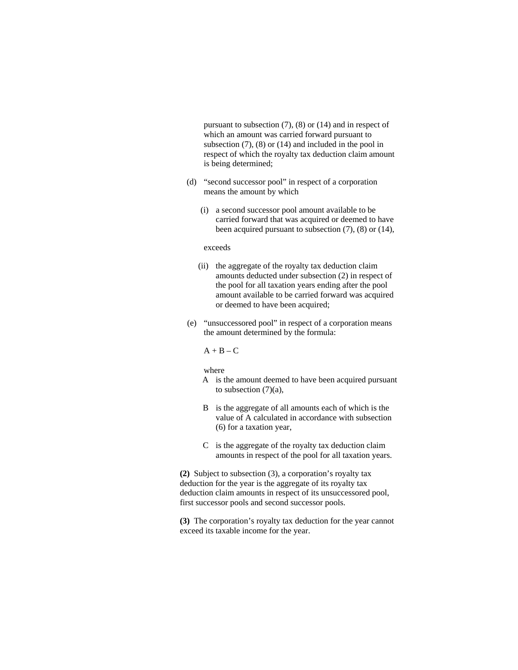pursuant to subsection (7), (8) or (14) and in respect of which an amount was carried forward pursuant to subsection  $(7)$ ,  $(8)$  or  $(14)$  and included in the pool in respect of which the royalty tax deduction claim amount is being determined;

- (d) "second successor pool" in respect of a corporation means the amount by which
	- (i) a second successor pool amount available to be carried forward that was acquired or deemed to have been acquired pursuant to subsection (7), (8) or (14),

#### exceeds

- (ii) the aggregate of the royalty tax deduction claim amounts deducted under subsection (2) in respect of the pool for all taxation years ending after the pool amount available to be carried forward was acquired or deemed to have been acquired;
- (e) "unsuccessored pool" in respect of a corporation means the amount determined by the formula:

#### $A + B - C$

#### where

- A is the amount deemed to have been acquired pursuant to subsection (7)(a),
- B is the aggregate of all amounts each of which is the value of A calculated in accordance with subsection (6) for a taxation year,
- C is the aggregate of the royalty tax deduction claim amounts in respect of the pool for all taxation years.

**(2)** Subject to subsection (3), a corporation's royalty tax deduction for the year is the aggregate of its royalty tax deduction claim amounts in respect of its unsuccessored pool, first successor pools and second successor pools.

**(3)** The corporation's royalty tax deduction for the year cannot exceed its taxable income for the year.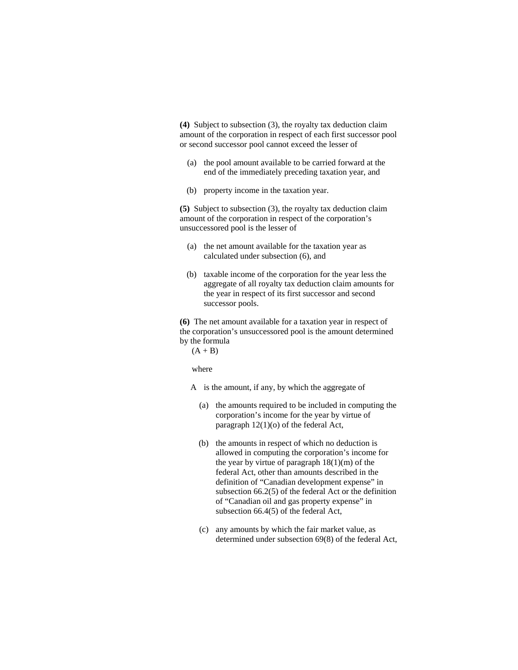**(4)** Subject to subsection (3), the royalty tax deduction claim amount of the corporation in respect of each first successor pool or second successor pool cannot exceed the lesser of

- (a) the pool amount available to be carried forward at the end of the immediately preceding taxation year, and
- (b) property income in the taxation year.

**(5)** Subject to subsection (3), the royalty tax deduction claim amount of the corporation in respect of the corporation's unsuccessored pool is the lesser of

- (a) the net amount available for the taxation year as calculated under subsection (6), and
- (b) taxable income of the corporation for the year less the aggregate of all royalty tax deduction claim amounts for the year in respect of its first successor and second successor pools.

**(6)** The net amount available for a taxation year in respect of the corporation's unsuccessored pool is the amount determined by the formula

 $(A + B)$ 

where

A is the amount, if any, by which the aggregate of

- (a) the amounts required to be included in computing the corporation's income for the year by virtue of paragraph 12(1)(o) of the federal Act,
- (b) the amounts in respect of which no deduction is allowed in computing the corporation's income for the year by virtue of paragraph  $18(1)(m)$  of the federal Act, other than amounts described in the definition of "Canadian development expense" in subsection 66.2(5) of the federal Act or the definition of "Canadian oil and gas property expense" in subsection 66.4(5) of the federal Act,
- (c) any amounts by which the fair market value, as determined under subsection 69(8) of the federal Act,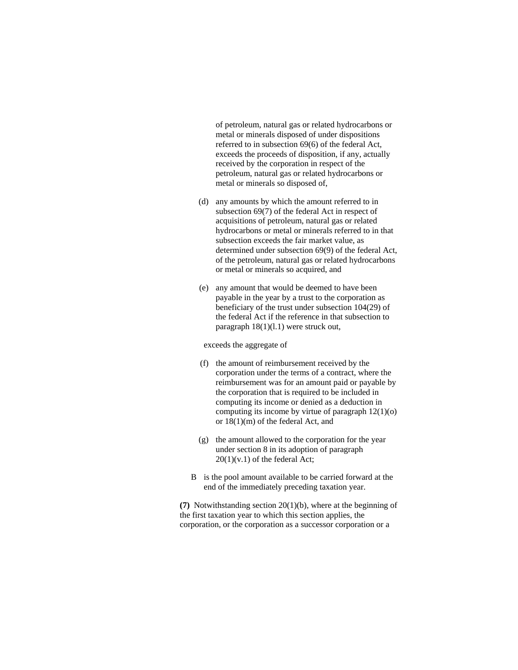of petroleum, natural gas or related hydrocarbons or metal or minerals disposed of under dispositions referred to in subsection 69(6) of the federal Act, exceeds the proceeds of disposition, if any, actually received by the corporation in respect of the petroleum, natural gas or related hydrocarbons or metal or minerals so disposed of,

- (d) any amounts by which the amount referred to in subsection 69(7) of the federal Act in respect of acquisitions of petroleum, natural gas or related hydrocarbons or metal or minerals referred to in that subsection exceeds the fair market value, as determined under subsection 69(9) of the federal Act, of the petroleum, natural gas or related hydrocarbons or metal or minerals so acquired, and
- (e) any amount that would be deemed to have been payable in the year by a trust to the corporation as beneficiary of the trust under subsection 104(29) of the federal Act if the reference in that subsection to paragraph 18(1)(l.1) were struck out,

exceeds the aggregate of

- (f) the amount of reimbursement received by the corporation under the terms of a contract, where the reimbursement was for an amount paid or payable by the corporation that is required to be included in computing its income or denied as a deduction in computing its income by virtue of paragraph 12(1)(o) or 18(1)(m) of the federal Act, and
- (g) the amount allowed to the corporation for the year under section 8 in its adoption of paragraph  $20(1)(v.1)$  of the federal Act;
- B is the pool amount available to be carried forward at the end of the immediately preceding taxation year.

**(7)** Notwithstanding section 20(1)(b), where at the beginning of the first taxation year to which this section applies, the corporation, or the corporation as a successor corporation or a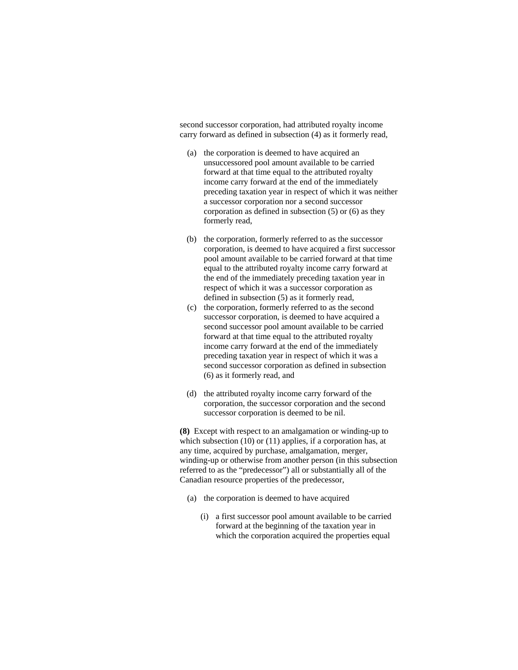second successor corporation, had attributed royalty income carry forward as defined in subsection (4) as it formerly read,

- (a) the corporation is deemed to have acquired an unsuccessored pool amount available to be carried forward at that time equal to the attributed royalty income carry forward at the end of the immediately preceding taxation year in respect of which it was neither a successor corporation nor a second successor corporation as defined in subsection (5) or (6) as they formerly read,
- (b) the corporation, formerly referred to as the successor corporation, is deemed to have acquired a first successor pool amount available to be carried forward at that time equal to the attributed royalty income carry forward at the end of the immediately preceding taxation year in respect of which it was a successor corporation as defined in subsection (5) as it formerly read,
- (c) the corporation, formerly referred to as the second successor corporation, is deemed to have acquired a second successor pool amount available to be carried forward at that time equal to the attributed royalty income carry forward at the end of the immediately preceding taxation year in respect of which it was a second successor corporation as defined in subsection (6) as it formerly read, and
- (d) the attributed royalty income carry forward of the corporation, the successor corporation and the second successor corporation is deemed to be nil.

**(8)** Except with respect to an amalgamation or winding-up to which subsection (10) or (11) applies, if a corporation has, at any time, acquired by purchase, amalgamation, merger, winding-up or otherwise from another person (in this subsection referred to as the "predecessor") all or substantially all of the Canadian resource properties of the predecessor,

- (a) the corporation is deemed to have acquired
	- (i) a first successor pool amount available to be carried forward at the beginning of the taxation year in which the corporation acquired the properties equal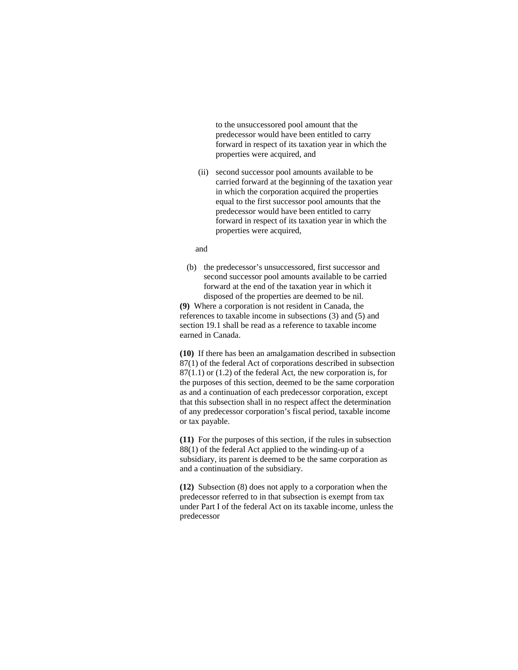to the unsuccessored pool amount that the predecessor would have been entitled to carry forward in respect of its taxation year in which the properties were acquired, and

 (ii) second successor pool amounts available to be carried forward at the beginning of the taxation year in which the corporation acquired the properties equal to the first successor pool amounts that the predecessor would have been entitled to carry forward in respect of its taxation year in which the properties were acquired,

## and

 (b) the predecessor's unsuccessored, first successor and second successor pool amounts available to be carried forward at the end of the taxation year in which it disposed of the properties are deemed to be nil.

**(9)** Where a corporation is not resident in Canada, the references to taxable income in subsections (3) and (5) and section 19.1 shall be read as a reference to taxable income earned in Canada.

**(10)** If there has been an amalgamation described in subsection 87(1) of the federal Act of corporations described in subsection 87(1.1) or (1.2) of the federal Act, the new corporation is, for the purposes of this section, deemed to be the same corporation as and a continuation of each predecessor corporation, except that this subsection shall in no respect affect the determination of any predecessor corporation's fiscal period, taxable income or tax payable.

**(11)** For the purposes of this section, if the rules in subsection 88(1) of the federal Act applied to the winding-up of a subsidiary, its parent is deemed to be the same corporation as and a continuation of the subsidiary.

**(12)** Subsection (8) does not apply to a corporation when the predecessor referred to in that subsection is exempt from tax under Part I of the federal Act on its taxable income, unless the predecessor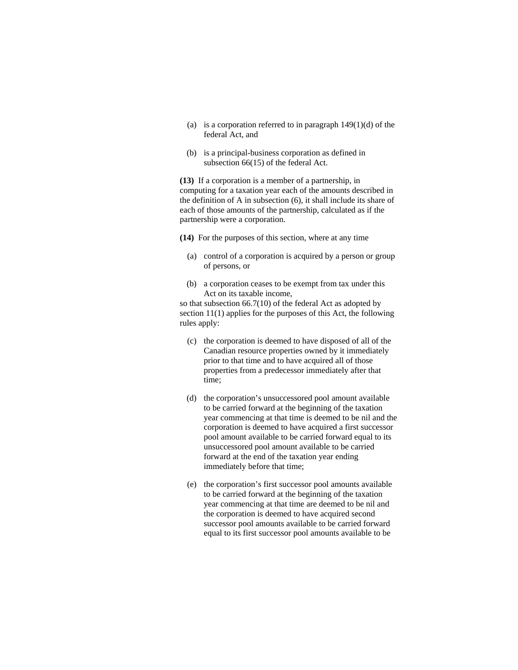- (a) is a corporation referred to in paragraph  $149(1)(d)$  of the federal Act, and
- (b) is a principal-business corporation as defined in subsection 66(15) of the federal Act.

**(13)** If a corporation is a member of a partnership, in computing for a taxation year each of the amounts described in the definition of A in subsection (6), it shall include its share of each of those amounts of the partnership, calculated as if the partnership were a corporation.

**(14)** For the purposes of this section, where at any time

- (a) control of a corporation is acquired by a person or group of persons, or
- (b) a corporation ceases to be exempt from tax under this Act on its taxable income,

so that subsection 66.7(10) of the federal Act as adopted by section 11(1) applies for the purposes of this Act, the following rules apply:

- (c) the corporation is deemed to have disposed of all of the Canadian resource properties owned by it immediately prior to that time and to have acquired all of those properties from a predecessor immediately after that time;
- (d) the corporation's unsuccessored pool amount available to be carried forward at the beginning of the taxation year commencing at that time is deemed to be nil and the corporation is deemed to have acquired a first successor pool amount available to be carried forward equal to its unsuccessored pool amount available to be carried forward at the end of the taxation year ending immediately before that time;
- (e) the corporation's first successor pool amounts available to be carried forward at the beginning of the taxation year commencing at that time are deemed to be nil and the corporation is deemed to have acquired second successor pool amounts available to be carried forward equal to its first successor pool amounts available to be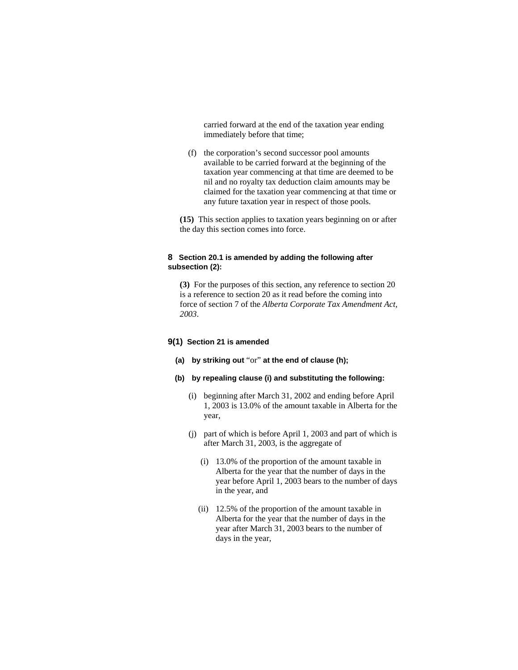carried forward at the end of the taxation year ending immediately before that time;

 (f) the corporation's second successor pool amounts available to be carried forward at the beginning of the taxation year commencing at that time are deemed to be nil and no royalty tax deduction claim amounts may be claimed for the taxation year commencing at that time or any future taxation year in respect of those pools.

**(15)** This section applies to taxation years beginning on or after the day this section comes into force.

# **8 Section 20.1 is amended by adding the following after subsection (2):**

**(3)** For the purposes of this section, any reference to section 20 is a reference to section 20 as it read before the coming into force of section 7 of the *Alberta Corporate Tax Amendment Act, 2003*.

## **9(1) Section 21 is amended**

- **(a) by striking out** "or" **at the end of clause (h);**
- **(b) by repealing clause (i) and substituting the following:**
	- (i) beginning after March 31, 2002 and ending before April 1, 2003 is 13.0% of the amount taxable in Alberta for the year,
	- (j) part of which is before April 1, 2003 and part of which is after March 31, 2003, is the aggregate of
		- (i) 13.0% of the proportion of the amount taxable in Alberta for the year that the number of days in the year before April 1, 2003 bears to the number of days in the year, and
		- (ii) 12.5% of the proportion of the amount taxable in Alberta for the year that the number of days in the year after March 31, 2003 bears to the number of days in the year,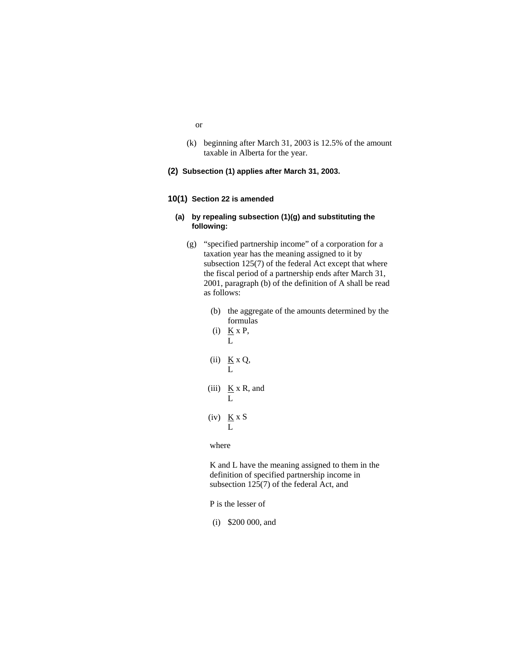- or
- (k) beginning after March 31, 2003 is 12.5% of the amount taxable in Alberta for the year.
- **(2) Subsection (1) applies after March 31, 2003.**

#### **10(1) Section 22 is amended**

## **(a) by repealing subsection (1)(g) and substituting the following:**

- (g) "specified partnership income" of a corporation for a taxation year has the meaning assigned to it by subsection 125(7) of the federal Act except that where the fiscal period of a partnership ends after March 31, 2001, paragraph (b) of the definition of A shall be read as follows:
	- (b) the aggregate of the amounts determined by the formulas
	- (i)  $K \times P$ , L
	- (ii)  $K \times Q$ , L
	- (iii)  $K \times R$ , and L
	- (iv)  $K \times S$ L

## where

K and L have the meaning assigned to them in the definition of specified partnership income in subsection 125(7) of the federal Act, and

P is the lesser of

(i) \$200 000, and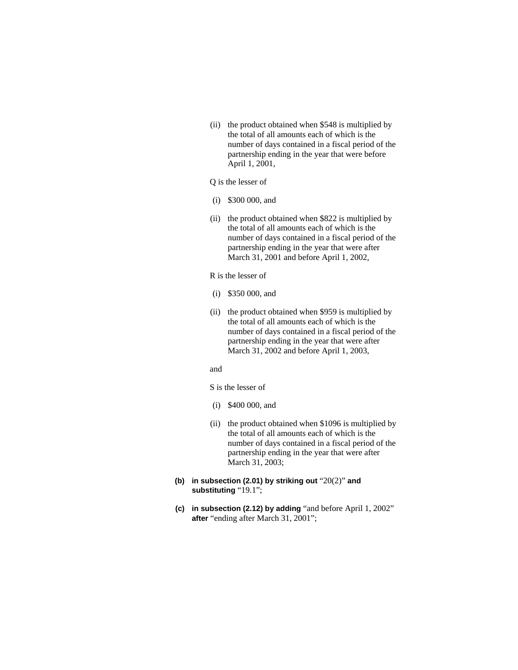(ii) the product obtained when \$548 is multiplied by the total of all amounts each of which is the number of days contained in a fiscal period of the partnership ending in the year that were before April 1, 2001,

# Q is the lesser of

- (i) \$300 000, and
- (ii) the product obtained when \$822 is multiplied by the total of all amounts each of which is the number of days contained in a fiscal period of the partnership ending in the year that were after March 31, 2001 and before April 1, 2002,

R is the lesser of

- (i) \$350 000, and
- (ii) the product obtained when \$959 is multiplied by the total of all amounts each of which is the number of days contained in a fiscal period of the partnership ending in the year that were after March 31, 2002 and before April 1, 2003,

### and

S is the lesser of

- (i) \$400 000, and
- (ii) the product obtained when \$1096 is multiplied by the total of all amounts each of which is the number of days contained in a fiscal period of the partnership ending in the year that were after March 31, 2003;
- **(b) in subsection (2.01) by striking out** "20(2)" **and substituting** "19.1";
- **(c) in subsection (2.12) by adding** "and before April 1, 2002" **after** "ending after March 31, 2001";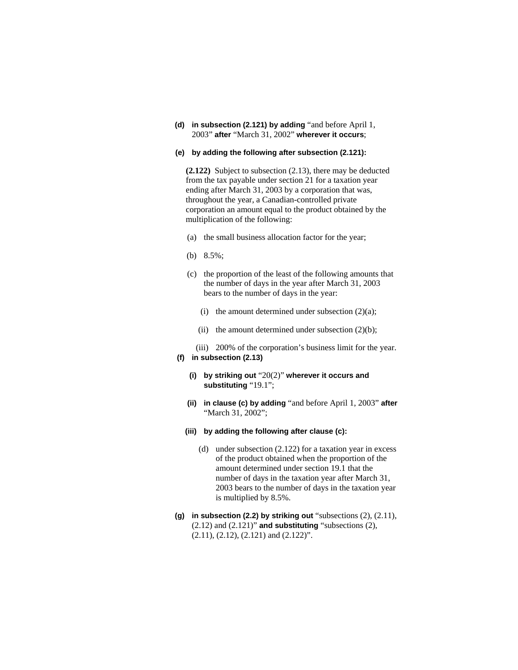**(d) in subsection (2.121) by adding** "and before April 1, 2003" **after** "March 31, 2002" **wherever it occurs**;

## **(e) by adding the following after subsection (2.121):**

**(2.122)** Subject to subsection (2.13), there may be deducted from the tax payable under section 21 for a taxation year ending after March 31, 2003 by a corporation that was, throughout the year, a Canadian-controlled private corporation an amount equal to the product obtained by the multiplication of the following:

- (a) the small business allocation factor for the year;
- (b) 8.5%;
- (c) the proportion of the least of the following amounts that the number of days in the year after March 31, 2003 bears to the number of days in the year:
	- (i) the amount determined under subsection  $(2)(a)$ ;
	- (ii) the amount determined under subsection  $(2)(b)$ ;
- (iii) 200% of the corporation's business limit for the year. **(f) in subsection (2.13)** 
	- **(i) by striking out** "20(2)" **wherever it occurs and substituting** "19.1";
	- **(ii) in clause (c) by adding** "and before April 1, 2003" **after**  "March 31, 2002";
	- **(iii) by adding the following after clause (c):** 
		- (d) under subsection (2.122) for a taxation year in excess of the product obtained when the proportion of the amount determined under section 19.1 that the number of days in the taxation year after March 31, 2003 bears to the number of days in the taxation year is multiplied by 8.5%.
- **(g) in subsection (2.2) by striking out** "subsections (2), (2.11), (2.12) and (2.121)" **and substituting** "subsections (2), (2.11), (2.12), (2.121) and (2.122)".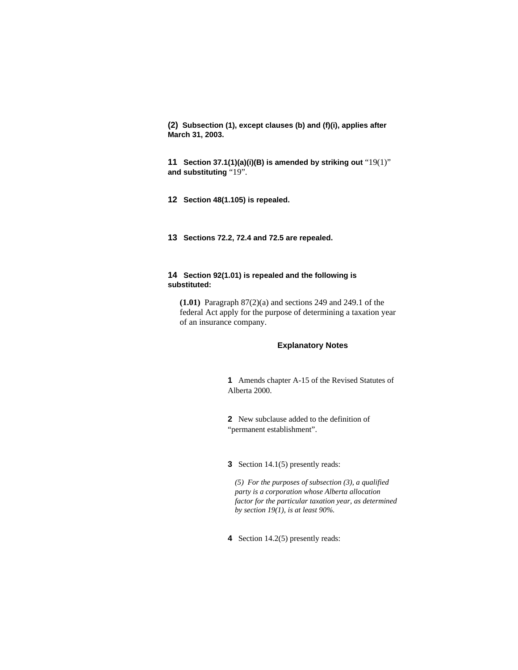**(2) Subsection (1), except clauses (b) and (f)(i), applies after March 31, 2003.**

**11 Section 37.1(1)(a)(i)(B) is amended by striking out** "19(1)" **and substituting** "19".

**12 Section 48(1.105) is repealed.** 

**13 Sections 72.2, 72.4 and 72.5 are repealed.** 

# **14 Section 92(1.01) is repealed and the following is substituted:**

**(1.01)** Paragraph 87(2)(a) and sections 249 and 249.1 of the federal Act apply for the purpose of determining a taxation year of an insurance company.

## **Explanatory Notes**

**1** Amends chapter A-15 of the Revised Statutes of Alberta 2000.

**2** New subclause added to the definition of "permanent establishment".

**3** Section 14.1(5) presently reads:

*(5) For the purposes of subsection (3), a qualified party is a corporation whose Alberta allocation factor for the particular taxation year, as determined by section 19(1), is at least 90%.* 

**4** Section 14.2(5) presently reads: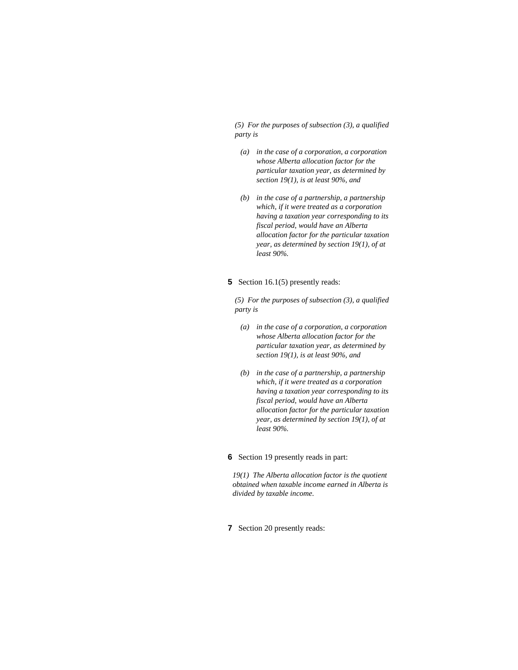*(5) For the purposes of subsection (3), a qualified party is* 

- *(a) in the case of a corporation, a corporation whose Alberta allocation factor for the particular taxation year, as determined by section 19(1), is at least 90%, and*
- *(b) in the case of a partnership, a partnership which, if it were treated as a corporation having a taxation year corresponding to its fiscal period, would have an Alberta allocation factor for the particular taxation year, as determined by section 19(1), of at least 90%.*
- **5** Section 16.1(5) presently reads:

*(5) For the purposes of subsection (3), a qualified party is* 

- *(a) in the case of a corporation, a corporation whose Alberta allocation factor for the particular taxation year, as determined by section 19(1), is at least 90%, and*
- *(b) in the case of a partnership, a partnership which, if it were treated as a corporation having a taxation year corresponding to its fiscal period, would have an Alberta allocation factor for the particular taxation year, as determined by section 19(1), of at least 90%.*

## **6** Section 19 presently reads in part:

*19(1) The Alberta allocation factor is the quotient obtained when taxable income earned in Alberta is divided by taxable income.* 

**7** Section 20 presently reads: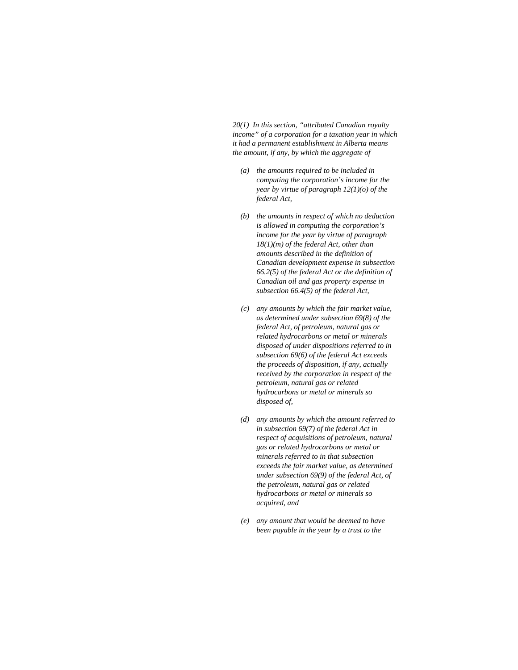*20(1) In this section, "attributed Canadian royalty income" of a corporation for a taxation year in which it had a permanent establishment in Alberta means the amount, if any, by which the aggregate of* 

- *(a) the amounts required to be included in computing the corporation's income for the year by virtue of paragraph 12(1)(o) of the federal Act,*
- *(b) the amounts in respect of which no deduction is allowed in computing the corporation's income for the year by virtue of paragraph 18(1)(m) of the federal Act, other than amounts described in the definition of Canadian development expense in subsection 66.2(5) of the federal Act or the definition of Canadian oil and gas property expense in subsection 66.4(5) of the federal Act,*
- *(c) any amounts by which the fair market value, as determined under subsection 69(8) of the federal Act, of petroleum, natural gas or related hydrocarbons or metal or minerals disposed of under dispositions referred to in subsection 69(6) of the federal Act exceeds the proceeds of disposition, if any, actually received by the corporation in respect of the petroleum, natural gas or related hydrocarbons or metal or minerals so disposed of,*
- *(d) any amounts by which the amount referred to in subsection 69(7) of the federal Act in respect of acquisitions of petroleum, natural gas or related hydrocarbons or metal or minerals referred to in that subsection exceeds the fair market value, as determined under subsection 69(9) of the federal Act, of the petroleum, natural gas or related hydrocarbons or metal or minerals so acquired, and*
- *(e) any amount that would be deemed to have been payable in the year by a trust to the*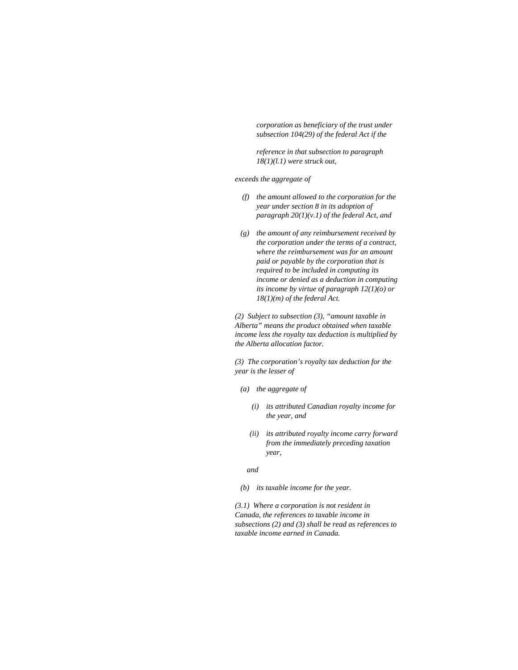*corporation as beneficiary of the trust under subsection 104(29) of the federal Act if the* 

 *reference in that subsection to paragraph 18(1)(l.1) were struck out,* 

*exceeds the aggregate of* 

- *(f) the amount allowed to the corporation for the year under section 8 in its adoption of paragraph 20(1)(v.1) of the federal Act, and*
- *(g) the amount of any reimbursement received by the corporation under the terms of a contract, where the reimbursement was for an amount paid or payable by the corporation that is required to be included in computing its income or denied as a deduction in computing its income by virtue of paragraph 12(1)(o) or 18(1)(m) of the federal Act.*

*(2) Subject to subsection (3), "amount taxable in Alberta" means the product obtained when taxable income less the royalty tax deduction is multiplied by the Alberta allocation factor.* 

*(3) The corporation's royalty tax deduction for the year is the lesser of* 

- *(a) the aggregate of* 
	- *(i) its attributed Canadian royalty income for the year, and*
	- *(ii) its attributed royalty income carry forward from the immediately preceding taxation year,*

 *and* 

 *(b) its taxable income for the year.* 

*(3.1) Where a corporation is not resident in Canada, the references to taxable income in subsections (2) and (3) shall be read as references to taxable income earned in Canada.*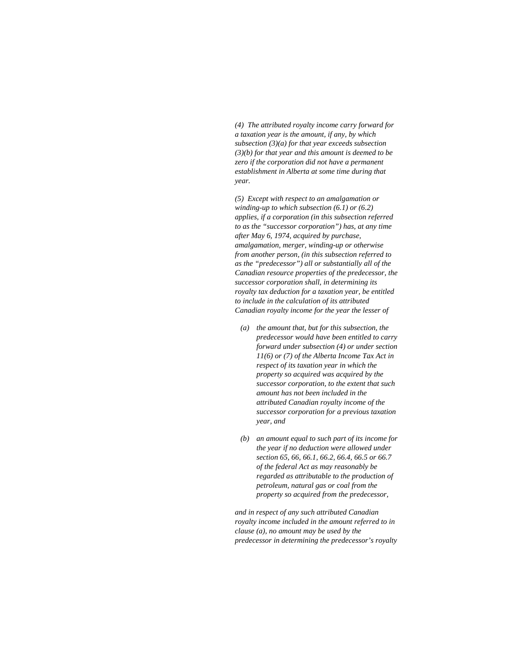*(4) The attributed royalty income carry forward for a taxation year is the amount, if any, by which subsection (3)(a) for that year exceeds subsection (3)(b) for that year and this amount is deemed to be zero if the corporation did not have a permanent establishment in Alberta at some time during that year.* 

*(5) Except with respect to an amalgamation or winding-up to which subsection (6.1) or (6.2) applies, if a corporation (in this subsection referred to as the "successor corporation") has, at any time after May 6, 1974, acquired by purchase, amalgamation, merger, winding-up or otherwise from another person, (in this subsection referred to as the "predecessor") all or substantially all of the Canadian resource properties of the predecessor, the successor corporation shall, in determining its royalty tax deduction for a taxation year, be entitled to include in the calculation of its attributed Canadian royalty income for the year the lesser of* 

- *(a) the amount that, but for this subsection, the predecessor would have been entitled to carry forward under subsection (4) or under section 11(6) or (7) of the Alberta Income Tax Act in respect of its taxation year in which the property so acquired was acquired by the successor corporation, to the extent that such amount has not been included in the attributed Canadian royalty income of the successor corporation for a previous taxation year, and*
- *(b) an amount equal to such part of its income for the year if no deduction were allowed under section 65, 66, 66.1, 66.2, 66.4, 66.5 or 66.7 of the federal Act as may reasonably be regarded as attributable to the production of petroleum, natural gas or coal from the property so acquired from the predecessor,*

*and in respect of any such attributed Canadian royalty income included in the amount referred to in clause (a), no amount may be used by the predecessor in determining the predecessor's royalty*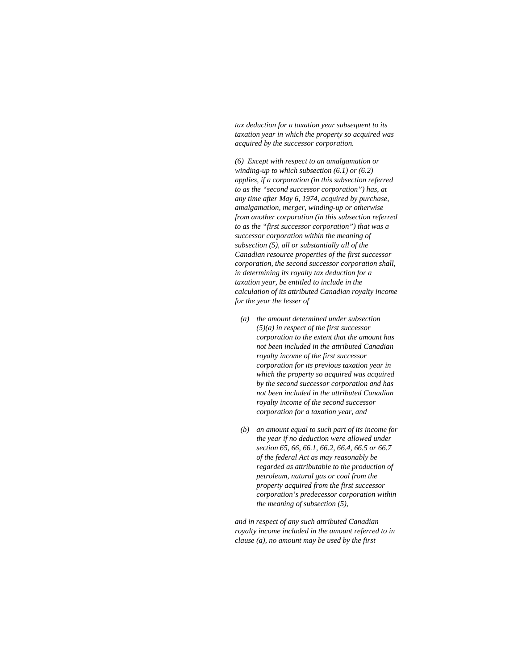*tax deduction for a taxation year subsequent to its taxation year in which the property so acquired was acquired by the successor corporation.* 

*(6) Except with respect to an amalgamation or winding-up to which subsection (6.1) or (6.2) applies, if a corporation (in this subsection referred to as the "second successor corporation") has, at any time after May 6, 1974, acquired by purchase, amalgamation, merger, winding-up or otherwise from another corporation (in this subsection referred to as the "first successor corporation") that was a successor corporation within the meaning of subsection (5), all or substantially all of the Canadian resource properties of the first successor corporation, the second successor corporation shall, in determining its royalty tax deduction for a taxation year, be entitled to include in the calculation of its attributed Canadian royalty income for the year the lesser of* 

- *(a) the amount determined under subsection (5)(a) in respect of the first successor corporation to the extent that the amount has not been included in the attributed Canadian royalty income of the first successor corporation for its previous taxation year in which the property so acquired was acquired by the second successor corporation and has not been included in the attributed Canadian royalty income of the second successor corporation for a taxation year, and*
- *(b) an amount equal to such part of its income for the year if no deduction were allowed under section 65, 66, 66.1, 66.2, 66.4, 66.5 or 66.7 of the federal Act as may reasonably be regarded as attributable to the production of petroleum, natural gas or coal from the property acquired from the first successor corporation's predecessor corporation within the meaning of subsection (5),*

*and in respect of any such attributed Canadian royalty income included in the amount referred to in clause (a), no amount may be used by the first*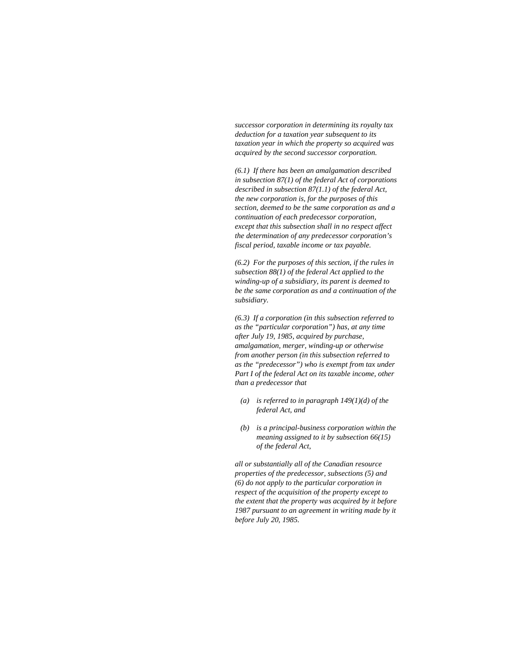*successor corporation in determining its royalty tax deduction for a taxation year subsequent to its taxation year in which the property so acquired was acquired by the second successor corporation.* 

*(6.1) If there has been an amalgamation described in subsection 87(1) of the federal Act of corporations described in subsection 87(1.1) of the federal Act, the new corporation is, for the purposes of this section, deemed to be the same corporation as and a continuation of each predecessor corporation, except that this subsection shall in no respect affect the determination of any predecessor corporation's fiscal period, taxable income or tax payable.* 

*(6.2) For the purposes of this section, if the rules in subsection 88(1) of the federal Act applied to the winding-up of a subsidiary, its parent is deemed to be the same corporation as and a continuation of the subsidiary.* 

*(6.3) If a corporation (in this subsection referred to as the "particular corporation") has, at any time after July 19, 1985, acquired by purchase, amalgamation, merger, winding-up or otherwise from another person (in this subsection referred to as the "predecessor") who is exempt from tax under Part I of the federal Act on its taxable income, other than a predecessor that* 

- *(a) is referred to in paragraph 149(1)(d) of the federal Act, and*
- *(b) is a principal-business corporation within the meaning assigned to it by subsection 66(15) of the federal Act,*

*all or substantially all of the Canadian resource properties of the predecessor, subsections (5) and (6) do not apply to the particular corporation in respect of the acquisition of the property except to the extent that the property was acquired by it before 1987 pursuant to an agreement in writing made by it before July 20, 1985.*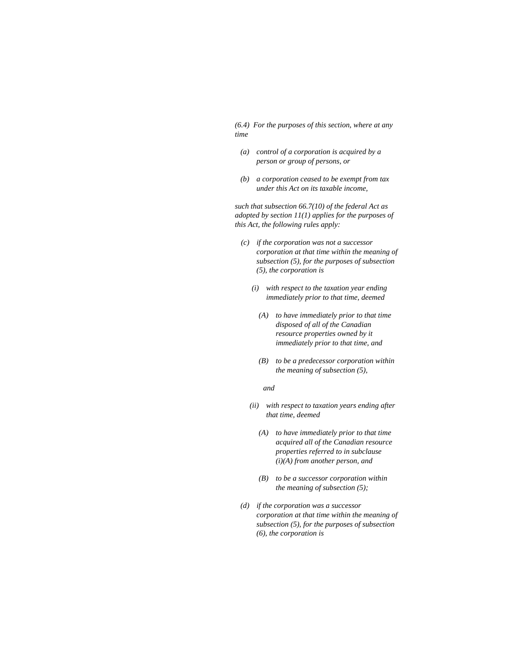*(6.4) For the purposes of this section, where at any time* 

- *(a) control of a corporation is acquired by a person or group of persons, or*
- *(b) a corporation ceased to be exempt from tax under this Act on its taxable income,*

*such that subsection 66.7(10) of the federal Act as adopted by section 11(1) applies for the purposes of this Act, the following rules apply:* 

- *(c) if the corporation was not a successor corporation at that time within the meaning of subsection (5), for the purposes of subsection (5), the corporation is* 
	- *(i) with respect to the taxation year ending immediately prior to that time, deemed* 
		- *(A) to have immediately prior to that time disposed of all of the Canadian resource properties owned by it immediately prior to that time, and*
		- *(B) to be a predecessor corporation within the meaning of subsection (5),*

 *and* 

- *(ii) with respect to taxation years ending after that time, deemed* 
	- *(A) to have immediately prior to that time acquired all of the Canadian resource properties referred to in subclause (i)(A) from another person, and*
	- *(B) to be a successor corporation within the meaning of subsection (5);*
- *(d) if the corporation was a successor corporation at that time within the meaning of subsection (5), for the purposes of subsection (6), the corporation is*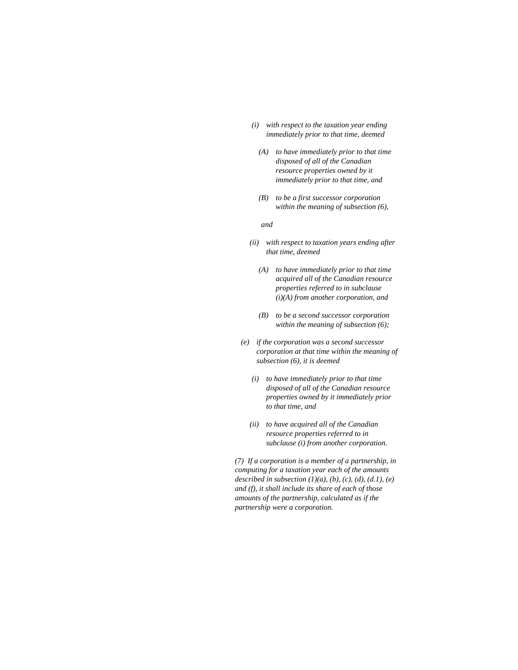- *(i) with respect to the taxation year ending immediately prior to that time, deemed* 
	- *(A) to have immediately prior to that time disposed of all of the Canadian resource properties owned by it immediately prior to that time, and*
	- *(B) to be a first successor corporation within the meaning of subsection (6),*

 *and* 

- *(ii) with respect to taxation years ending after that time, deemed* 
	- *(A) to have immediately prior to that time acquired all of the Canadian resource properties referred to in subclause (i)(A) from another corporation, and*
	- *(B) to be a second successor corporation within the meaning of subsection (6);*
- *(e) if the corporation was a second successor corporation at that time within the meaning of subsection (6), it is deemed* 
	- *(i) to have immediately prior to that time disposed of all of the Canadian resource properties owned by it immediately prior to that time, and*
	- *(ii) to have acquired all of the Canadian resource properties referred to in subclause (i) from another corporation.*

*(7) If a corporation is a member of a partnership, in computing for a taxation year each of the amounts described in subsection (1)(a), (b), (c), (d), (d.1), (e) and (f), it shall include its share of each of those amounts of the partnership, calculated as if the partnership were a corporation.*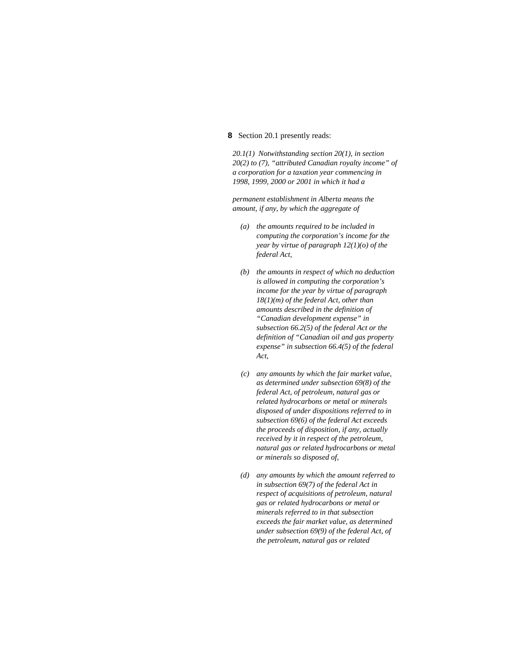## **8** Section 20.1 presently reads:

*20.1(1) Notwithstanding section 20(1), in section 20(2) to (7), "attributed Canadian royalty income" of a corporation for a taxation year commencing in 1998, 1999, 2000 or 2001 in which it had a* 

*permanent establishment in Alberta means the amount, if any, by which the aggregate of* 

- *(a) the amounts required to be included in computing the corporation's income for the year by virtue of paragraph 12(1)(o) of the federal Act,*
- *(b) the amounts in respect of which no deduction is allowed in computing the corporation's income for the year by virtue of paragraph 18(1)(m) of the federal Act, other than amounts described in the definition of "Canadian development expense" in subsection 66.2(5) of the federal Act or the definition of "Canadian oil and gas property expense" in subsection 66.4(5) of the federal Act,*
- *(c) any amounts by which the fair market value, as determined under subsection 69(8) of the federal Act, of petroleum, natural gas or related hydrocarbons or metal or minerals disposed of under dispositions referred to in subsection 69(6) of the federal Act exceeds the proceeds of disposition, if any, actually received by it in respect of the petroleum, natural gas or related hydrocarbons or metal or minerals so disposed of,*
- *(d) any amounts by which the amount referred to in subsection 69(7) of the federal Act in respect of acquisitions of petroleum, natural gas or related hydrocarbons or metal or minerals referred to in that subsection exceeds the fair market value, as determined under subsection 69(9) of the federal Act, of the petroleum, natural gas or related*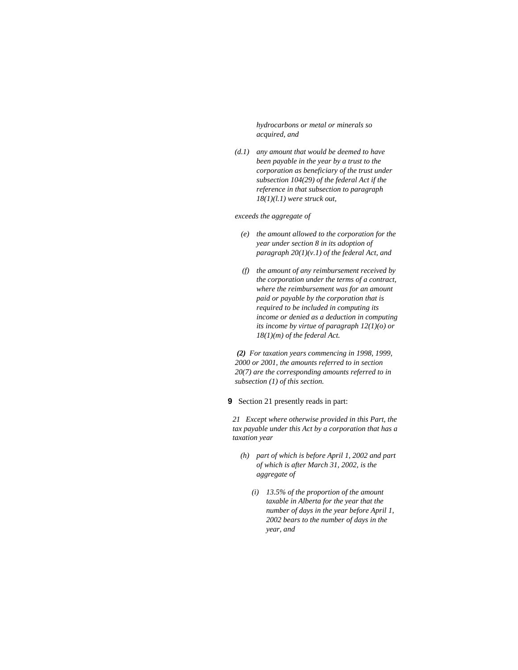*hydrocarbons or metal or minerals so acquired, and* 

 *(d.1) any amount that would be deemed to have been payable in the year by a trust to the corporation as beneficiary of the trust under subsection 104(29) of the federal Act if the reference in that subsection to paragraph 18(1)(l.1) were struck out,* 

#### *exceeds the aggregate of*

- *(e) the amount allowed to the corporation for the year under section 8 in its adoption of paragraph 20(1)(v.1) of the federal Act, and*
- *(f) the amount of any reimbursement received by the corporation under the terms of a contract, where the reimbursement was for an amount paid or payable by the corporation that is required to be included in computing its income or denied as a deduction in computing its income by virtue of paragraph 12(1)(o) or 18(1)(m) of the federal Act.*

*(2) For taxation years commencing in 1998, 1999, 2000 or 2001, the amounts referred to in section 20(7) are the corresponding amounts referred to in subsection (1) of this section.* 

**9** Section 21 presently reads in part:

*21 Except where otherwise provided in this Part, the tax payable under this Act by a corporation that has a taxation year* 

- *(h) part of which is before April 1, 2002 and part of which is after March 31, 2002, is the aggregate of* 
	- *(i) 13.5% of the proportion of the amount taxable in Alberta for the year that the number of days in the year before April 1, 2002 bears to the number of days in the year, and*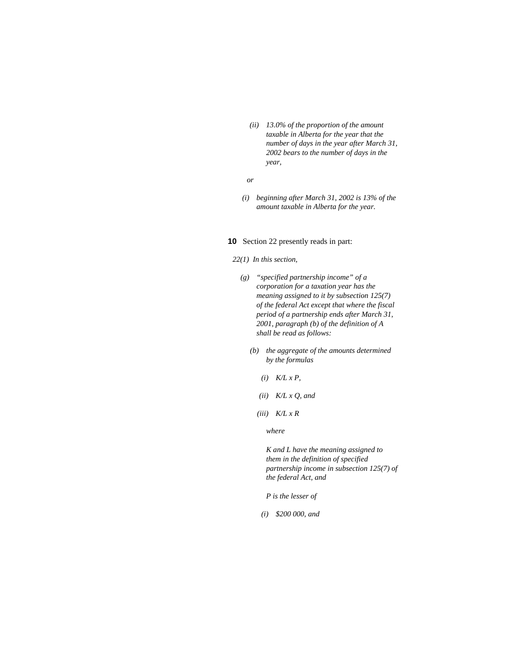*(ii) 13.0% of the proportion of the amount taxable in Alberta for the year that the number of days in the year after March 31, 2002 bears to the number of days in the year,* 

 *or* 

 *(i) beginning after March 31, 2002 is 13% of the amount taxable in Alberta for the year.* 

#### **10** Section 22 presently reads in part:

#### *22(1) In this section,*

- *(g) "specified partnership income" of a corporation for a taxation year has the meaning assigned to it by subsection 125(7) of the federal Act except that where the fiscal period of a partnership ends after March 31, 2001, paragraph (b) of the definition of A shall be read as follows:* 
	- *(b) the aggregate of the amounts determined by the formulas* 
		- $(i)$   $K/L x P$ ,
		- *(ii) K/L x Q, and*
		- *(iii) K/L x R*

 *where* 

*K and L have the meaning assigned to them in the definition of specified partnership income in subsection 125(7) of the federal Act, and* 

*P is the lesser of* 

*(i) \$200 000, and*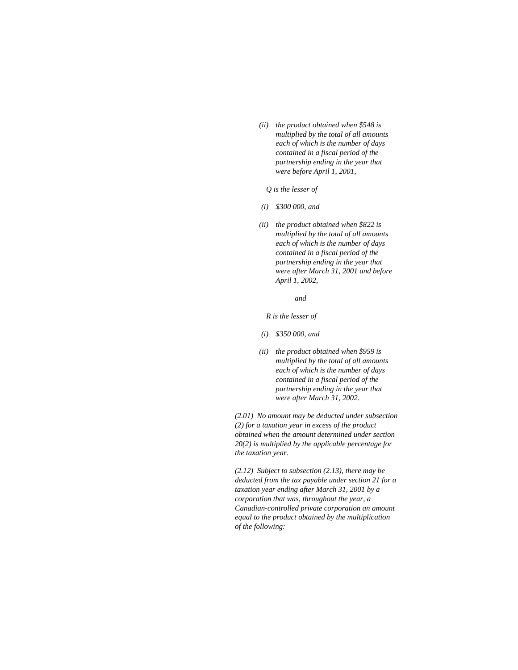- *(ii) the product obtained when \$548 is multiplied by the total of all amounts each of which is the number of days contained in a fiscal period of the partnership ending in the year that were before April 1, 2001,* 
	- *Q is the lesser of*
- *(i) \$300 000, and*
- *(ii) the product obtained when \$822 is multiplied by the total of all amounts each of which is the number of days contained in a fiscal period of the partnership ending in the year that were after March 31, 2001 and before April 1, 2002,*
- *and*

 *R is the lesser of* 

- *(i) \$350 000, and*
- *(ii) the product obtained when \$959 is multiplied by the total of all amounts each of which is the number of days contained in a fiscal period of the partnership ending in the year that were after March 31, 2002.*

*(2.01) No amount may be deducted under subsection (2) for a taxation year in excess of the product obtained when the amount determined under section 20(2) is multiplied by the applicable percentage for the taxation year.* 

*(2.12) Subject to subsection (2.13), there may be deducted from the tax payable under section 21 for a taxation year ending after March 31, 2001 by a corporation that was, throughout the year, a Canadian-controlled private corporation an amount equal to the product obtained by the multiplication of the following:*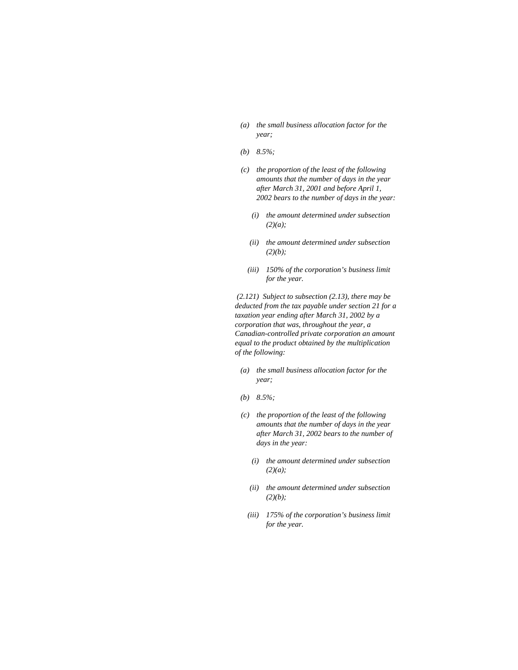- *(a) the small business allocation factor for the year;*
- *(b) 8.5%;*
- *(c) the proportion of the least of the following amounts that the number of days in the year after March 31, 2001 and before April 1, 2002 bears to the number of days in the year:* 
	- *(i) the amount determined under subsection (2)(a);*
	- *(ii) the amount determined under subsection (2)(b);*
	- *(iii) 150% of the corporation's business limit for the year.*

 *(2.121) Subject to subsection (2.13), there may be deducted from the tax payable under section 21 for a taxation year ending after March 31, 2002 by a corporation that was, throughout the year, a Canadian-controlled private corporation an amount equal to the product obtained by the multiplication of the following:* 

- *(a) the small business allocation factor for the year;*
- *(b) 8.5%;*
- *(c) the proportion of the least of the following amounts that the number of days in the year after March 31, 2002 bears to the number of days in the year:* 
	- *(i) the amount determined under subsection (2)(a);*
	- *(ii) the amount determined under subsection (2)(b);*
	- *(iii) 175% of the corporation's business limit for the year.*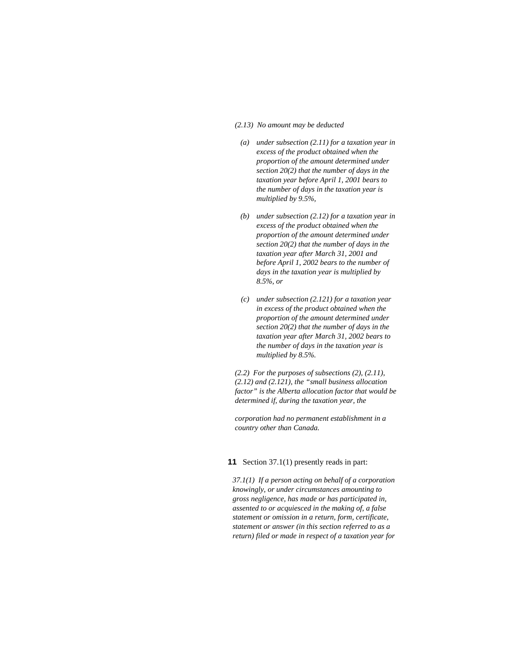#### *(2.13) No amount may be deducted*

- *(a) under subsection (2.11) for a taxation year in excess of the product obtained when the proportion of the amount determined under section 20(2) that the number of days in the taxation year before April 1, 2001 bears to the number of days in the taxation year is multiplied by 9.5%,*
- *(b) under subsection (2.12) for a taxation year in excess of the product obtained when the proportion of the amount determined under section 20(2) that the number of days in the taxation year after March 31, 2001 and before April 1, 2002 bears to the number of days in the taxation year is multiplied by 8.5%, or*
- *(c) under subsection (2.121) for a taxation year in excess of the product obtained when the proportion of the amount determined under section 20(2) that the number of days in the taxation year after March 31, 2002 bears to the number of days in the taxation year is multiplied by 8.5%.*

*(2.2) For the purposes of subsections (2), (2.11), (2.12) and (2.121), the "small business allocation factor" is the Alberta allocation factor that would be determined if, during the taxation year, the* 

*corporation had no permanent establishment in a country other than Canada.* 

### **11** Section 37.1(1) presently reads in part:

*37.1(1) If a person acting on behalf of a corporation knowingly, or under circumstances amounting to gross negligence, has made or has participated in, assented to or acquiesced in the making of, a false statement or omission in a return, form, certificate, statement or answer (in this section referred to as a return) filed or made in respect of a taxation year for*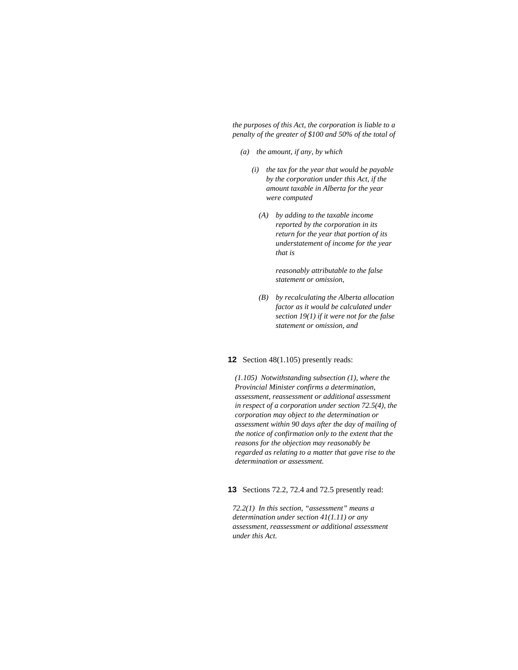*the purposes of this Act, the corporation is liable to a penalty of the greater of \$100 and 50% of the total of* 

- *(a) the amount, if any, by which* 
	- *(i) the tax for the year that would be payable by the corporation under this Act, if the amount taxable in Alberta for the year were computed* 
		- *(A) by adding to the taxable income reported by the corporation in its return for the year that portion of its understatement of income for the year that is*

 *reasonably attributable to the false statement or omission,* 

*(B) by recalculating the Alberta allocation factor as it would be calculated under section 19(1) if it were not for the false statement or omission, and* 

#### **12** Section 48(1.105) presently reads:

*(1.105) Notwithstanding subsection (1), where the Provincial Minister confirms a determination, assessment, reassessment or additional assessment in respect of a corporation under section 72.5(4), the corporation may object to the determination or assessment within 90 days after the day of mailing of the notice of confirmation only to the extent that the reasons for the objection may reasonably be regarded as relating to a matter that gave rise to the determination or assessment.* 

**13** Sections 72.2, 72.4 and 72.5 presently read:

*72.2(1) In this section, "assessment" means a determination under section 41(1.11) or any assessment, reassessment or additional assessment under this Act.*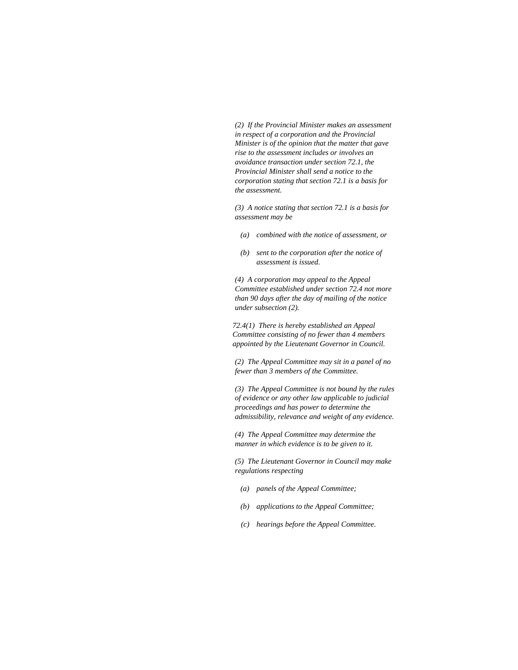*(2) If the Provincial Minister makes an assessment in respect of a corporation and the Provincial Minister is of the opinion that the matter that gave rise to the assessment includes or involves an avoidance transaction under section 72.1, the Provincial Minister shall send a notice to the corporation stating that section 72.1 is a basis for the assessment.* 

*(3) A notice stating that section 72.1 is a basis for assessment may be* 

- *(a) combined with the notice of assessment, or*
- *(b) sent to the corporation after the notice of assessment is issued.*

*(4) A corporation may appeal to the Appeal Committee established under section 72.4 not more than 90 days after the day of mailing of the notice under subsection (2).* 

*72.4(1) There is hereby established an Appeal Committee consisting of no fewer than 4 members appointed by the Lieutenant Governor in Council.* 

*(2) The Appeal Committee may sit in a panel of no fewer than 3 members of the Committee.* 

*(3) The Appeal Committee is not bound by the rules of evidence or any other law applicable to judicial proceedings and has power to determine the admissibility, relevance and weight of any evidence.* 

*(4) The Appeal Committee may determine the manner in which evidence is to be given to it.* 

*(5) The Lieutenant Governor in Council may make regulations respecting* 

- *(a) panels of the Appeal Committee;*
- *(b) applications to the Appeal Committee;*
- *(c) hearings before the Appeal Committee.*